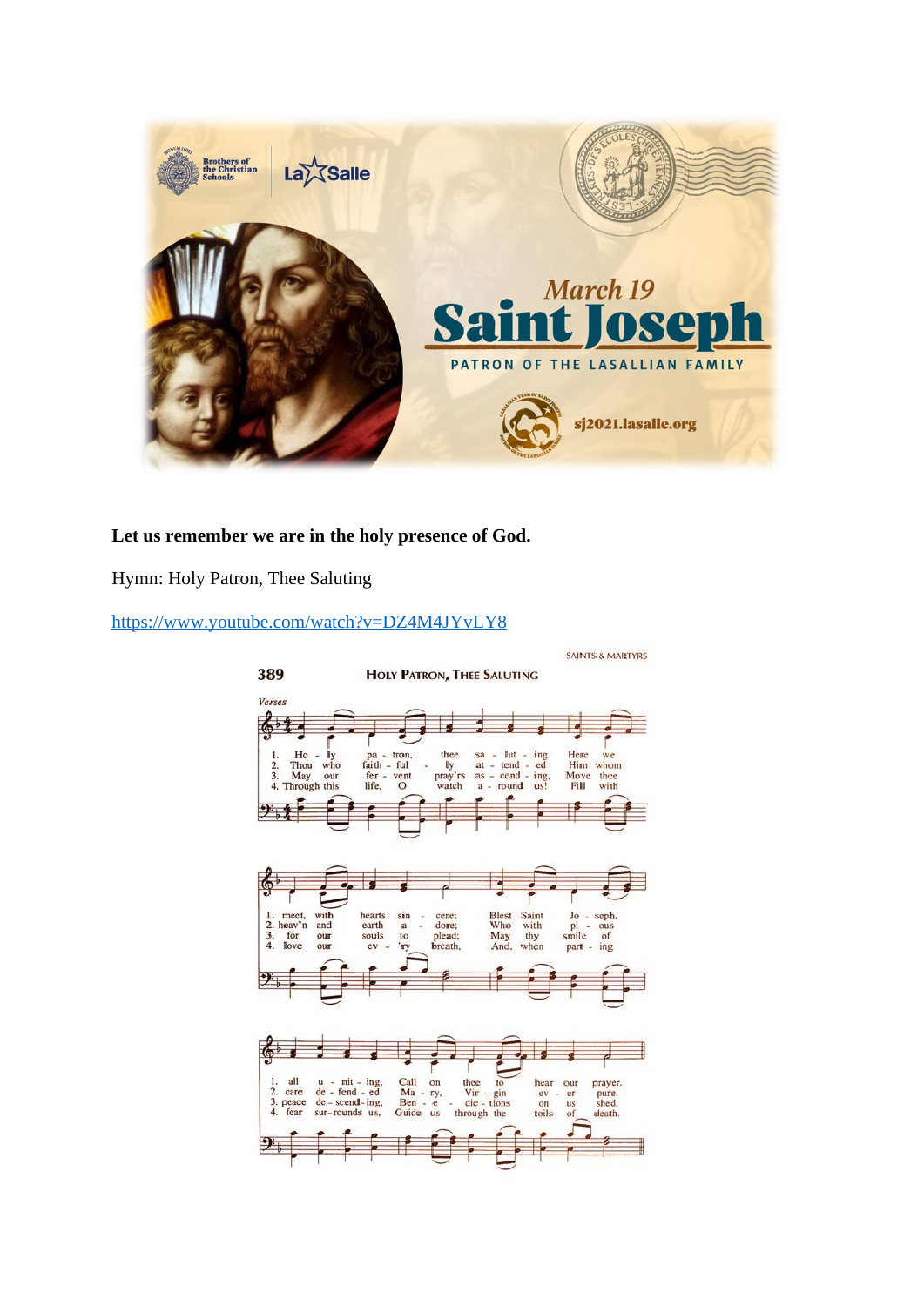

## **Let us remember we are in the holy presence of God.**

Hymn: Holy Patron, Thee Saluting

<https://www.youtube.com/watch?v=DZ4M4JYvLY8>

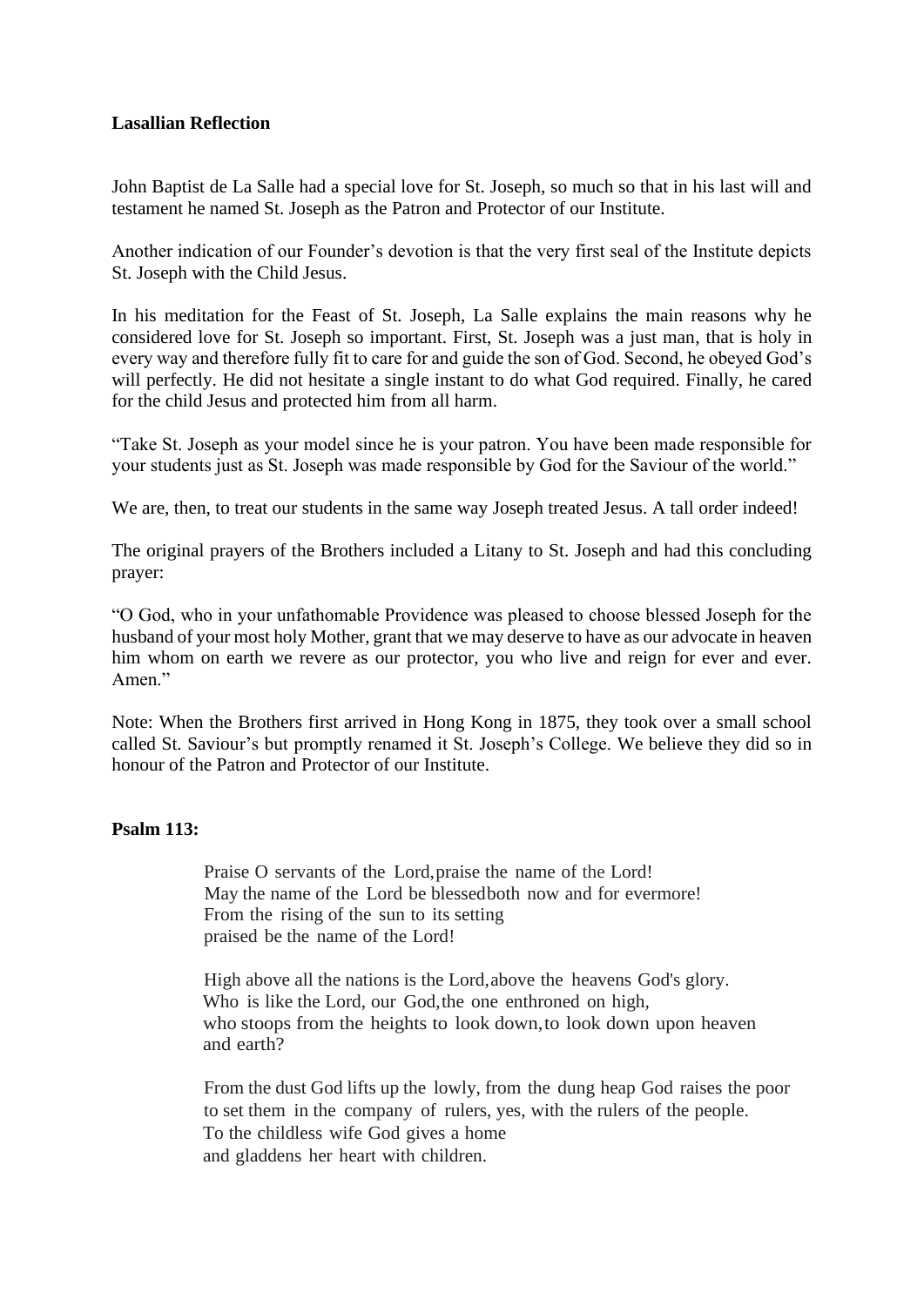### **Lasallian Reflection**

John Baptist de La Salle had a special love for St. Joseph, so much so that in his last will and testament he named St. Joseph as the Patron and Protector of our Institute.

Another indication of our Founder's devotion is that the very first seal of the Institute depicts St. Joseph with the Child Jesus.

In his meditation for the Feast of St. Joseph, La Salle explains the main reasons why he considered love for St. Joseph so important. First, St. Joseph was a just man, that is holy in every way and therefore fully fit to care for and guide the son of God. Second, he obeyed God's will perfectly. He did not hesitate a single instant to do what God required. Finally, he cared for the child Jesus and protected him from all harm.

"Take St. Joseph as your model since he is your patron. You have been made responsible for your students just as St. Joseph was made responsible by God for the Saviour of the world."

We are, then, to treat our students in the same way Joseph treated Jesus. A tall order indeed!

The original prayers of the Brothers included a Litany to St. Joseph and had this concluding prayer:

"O God, who in your unfathomable Providence was pleased to choose blessed Joseph for the husband of your most holy Mother, grant that we may deserve to have as our advocate in heaven him whom on earth we revere as our protector, you who live and reign for ever and ever. Amen."

Note: When the Brothers first arrived in Hong Kong in 1875, they took over a small school called St. Saviour's but promptly renamed it St. Joseph's College. We believe they did so in honour of the Patron and Protector of our Institute.

#### **Psalm 113:**

Praise O servants of the Lord, praise the name of the Lord! May the name of the Lord be blessedboth now and for evermore! From the rising of the sun to its setting praised be the name of the Lord!

High above all the nations is the Lord, above the heavens God's glory. Who is like the Lord, our God,the one enthroned on high, who stoops from the heights to look down,to look down upon heaven and earth?

From the dust God lifts up the lowly, from the dung heap God raises the poor to set them in the company of rulers, yes, with the rulers of the people. To the childless wife God gives a home and gladdens her heart with children.